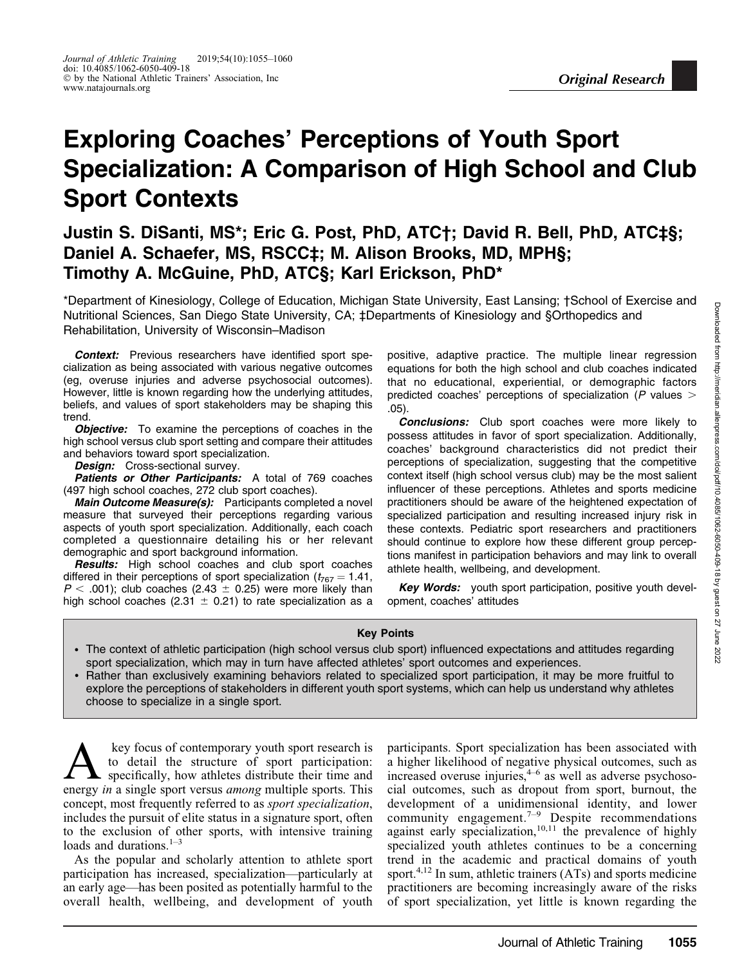# Exploring Coaches' Perceptions of Youth Sport Specialization: A Comparison of High School and Club Sport Contexts

## Justin S. DiSanti, MS\*; Eric G. Post, PhD, ATC†; David R. Bell, PhD, ATC‡§; Daniel A. Schaefer, MS, RSCC‡; M. Alison Brooks, MD, MPH§; Timothy A. McGuine, PhD, ATC§; Karl Erickson, PhD\*

\*Department of Kinesiology, College of Education, Michigan State University, East Lansing; †School of Exercise and Nutritional Sciences, San Diego State University, CA; ‡Departments of Kinesiology and §Orthopedics and Rehabilitation, University of Wisconsin–Madison

**Context:** Previous researchers have identified sport specialization as being associated with various negative outcomes (eg, overuse injuries and adverse psychosocial outcomes). However, little is known regarding how the underlying attitudes, beliefs, and values of sport stakeholders may be shaping this trend.

**Objective:** To examine the perceptions of coaches in the high school versus club sport setting and compare their attitudes and behaviors toward sport specialization.

Design: Cross-sectional survey.

Patients or Other Participants: A total of 769 coaches (497 high school coaches, 272 club sport coaches).

Main Outcome Measure(s): Participants completed a novel measure that surveyed their perceptions regarding various aspects of youth sport specialization. Additionally, each coach completed a questionnaire detailing his or her relevant demographic and sport background information.

**Results:** High school coaches and club sport coaches differed in their perceptions of sport specialization ( $t_{767}$  = 1.41,  $P < .001$ ); club coaches (2.43  $\pm$  0.25) were more likely than high school coaches (2.31  $\pm$  0.21) to rate specialization as a positive, adaptive practice. The multiple linear regression equations for both the high school and club coaches indicated that no educational, experiential, or demographic factors predicted coaches' perceptions of specialization ( $P$  values  $>$ .05).

**Conclusions:** Club sport coaches were more likely to possess attitudes in favor of sport specialization. Additionally, coaches' background characteristics did not predict their perceptions of specialization, suggesting that the competitive context itself (high school versus club) may be the most salient influencer of these perceptions. Athletes and sports medicine practitioners should be aware of the heightened expectation of specialized participation and resulting increased injury risk in these contexts. Pediatric sport researchers and practitioners should continue to explore how these different group perceptions manifest in participation behaviors and may link to overall athlete health, wellbeing, and development.

**Key Words:** youth sport participation, positive youth development, coaches' attitudes

#### Key Points

- The context of athletic participation (high school versus club sport) influenced expectations and attitudes regarding sport specialization, which may in turn have affected athletes' sport outcomes and experiences.
- Rather than exclusively examining behaviors related to specialized sport participation, it may be more fruitful to explore the perceptions of stakeholders in different youth sport systems, which can help us understand why athletes choose to specialize in a single sport.

key focus of contemporary youth sport research is to detail the structure of sport participation: specifically, how athletes distribute their time and energy *in* a single sport versus *among* multiple sports. This concept, most frequently referred to as sport specialization, includes the pursuit of elite status in a signature sport, often to the exclusion of other sports, with intensive training loads and durations.<sup>1-3</sup>

As the popular and scholarly attention to athlete sport participation has increased, specialization—particularly at an early age—has been posited as potentially harmful to the overall health, wellbeing, and development of youth participants. Sport specialization has been associated with a higher likelihood of negative physical outcomes, such as increased overuse injuries, $4-6$  as well as adverse psychosocial outcomes, such as dropout from sport, burnout, the development of a unidimensional identity, and lower community engagement.<sup>7-9</sup> Despite recommendations against early specialization,<sup>10,11</sup> the prevalence of highly specialized youth athletes continues to be a concerning trend in the academic and practical domains of youth sport.<sup>4,12</sup> In sum, athletic trainers  $(ATs)$  and sports medicine practitioners are becoming increasingly aware of the risks of sport specialization, yet little is known regarding the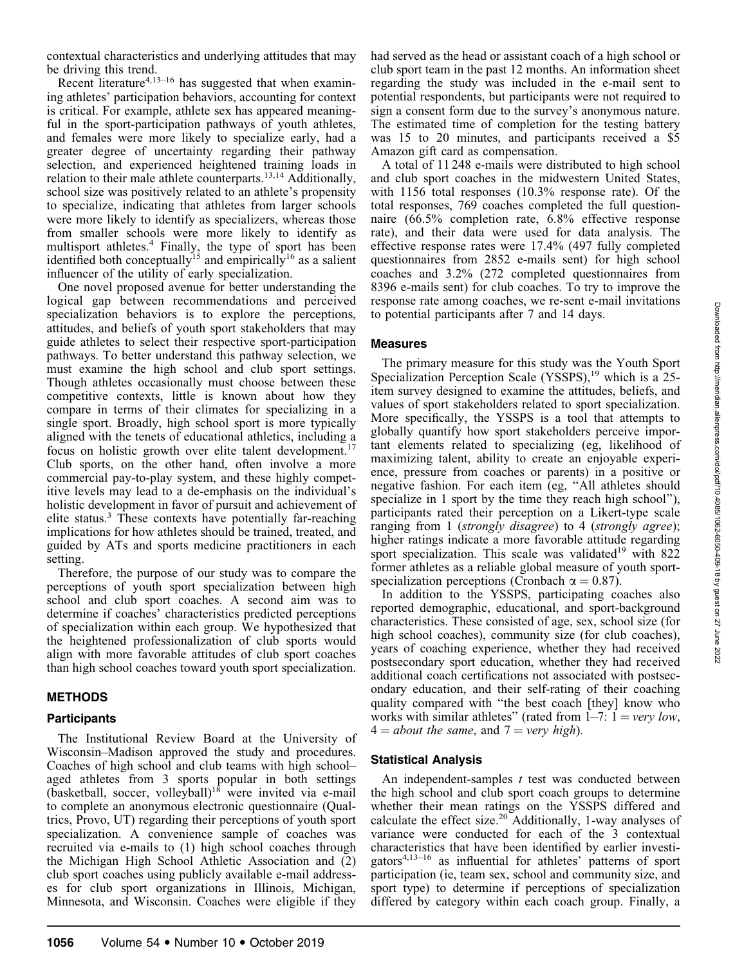Recent literature<sup>4,13–16</sup> has suggested that when examining athletes' participation behaviors, accounting for context is critical. For example, athlete sex has appeared meaningful in the sport-participation pathways of youth athletes, and females were more likely to specialize early, had a greater degree of uncertainty regarding their pathway selection, and experienced heightened training loads in relation to their male athlete counterparts.13,14 Additionally, school size was positively related to an athlete's propensity to specialize, indicating that athletes from larger schools were more likely to identify as specializers, whereas those from smaller schools were more likely to identify as multisport athletes.<sup>4</sup> Finally, the type of sport has been identified both conceptually<sup>15</sup> and empirically<sup>16</sup> as a salient influencer of the utility of early specialization.

One novel proposed avenue for better understanding the logical gap between recommendations and perceived specialization behaviors is to explore the perceptions, attitudes, and beliefs of youth sport stakeholders that may guide athletes to select their respective sport-participation pathways. To better understand this pathway selection, we must examine the high school and club sport settings. Though athletes occasionally must choose between these competitive contexts, little is known about how they compare in terms of their climates for specializing in a single sport. Broadly, high school sport is more typically aligned with the tenets of educational athletics, including a focus on holistic growth over elite talent development.<sup>1</sup> Club sports, on the other hand, often involve a more commercial pay-to-play system, and these highly competitive levels may lead to a de-emphasis on the individual's holistic development in favor of pursuit and achievement of elite status.<sup>3</sup> These contexts have potentially far-reaching implications for how athletes should be trained, treated, and guided by ATs and sports medicine practitioners in each setting.

Therefore, the purpose of our study was to compare the perceptions of youth sport specialization between high school and club sport coaches. A second aim was to determine if coaches' characteristics predicted perceptions of specialization within each group. We hypothesized that the heightened professionalization of club sports would align with more favorable attitudes of club sport coaches than high school coaches toward youth sport specialization.

## METHODS

## **Participants**

The Institutional Review Board at the University of Wisconsin–Madison approved the study and procedures. Coaches of high school and club teams with high school– aged athletes from 3 sports popular in both settings (basketball, soccer, volleyball)<sup>18</sup> were invited via e-mail to complete an anonymous electronic questionnaire (Qualtrics, Provo, UT) regarding their perceptions of youth sport specialization. A convenience sample of coaches was recruited via e-mails to (1) high school coaches through the Michigan High School Athletic Association and (2) club sport coaches using publicly available e-mail addresses for club sport organizations in Illinois, Michigan, Minnesota, and Wisconsin. Coaches were eligible if they

had served as the head or assistant coach of a high school or club sport team in the past 12 months. An information sheet regarding the study was included in the e-mail sent to potential respondents, but participants were not required to sign a consent form due to the survey's anonymous nature. The estimated time of completion for the testing battery was 15 to 20 minutes, and participants received a \$5 Amazon gift card as compensation.

A total of 11 248 e-mails were distributed to high school and club sport coaches in the midwestern United States, with 1156 total responses (10.3% response rate). Of the total responses, 769 coaches completed the full questionnaire (66.5% completion rate, 6.8% effective response rate), and their data were used for data analysis. The effective response rates were 17.4% (497 fully completed questionnaires from 2852 e-mails sent) for high school coaches and 3.2% (272 completed questionnaires from 8396 e-mails sent) for club coaches. To try to improve the response rate among coaches, we re-sent e-mail invitations to potential participants after 7 and 14 days.

## Measures

The primary measure for this study was the Youth Sport Specialization Perception Scale  $(YSSPS)$ ,<sup>19</sup> which is a 25item survey designed to examine the attitudes, beliefs, and values of sport stakeholders related to sport specialization. More specifically, the YSSPS is a tool that attempts to globally quantify how sport stakeholders perceive important elements related to specializing (eg, likelihood of maximizing talent, ability to create an enjoyable experience, pressure from coaches or parents) in a positive or negative fashion. For each item (eg, ''All athletes should specialize in 1 sport by the time they reach high school''), participants rated their perception on a Likert-type scale ranging from 1 (strongly disagree) to 4 (strongly agree); higher ratings indicate a more favorable attitude regarding sport specialization. This scale was validated<sup>19</sup> with 822 former athletes as a reliable global measure of youth sportspecialization perceptions (Cronbach  $\alpha = 0.87$ ).

In addition to the YSSPS, participating coaches also reported demographic, educational, and sport-background characteristics. These consisted of age, sex, school size (for high school coaches), community size (for club coaches), years of coaching experience, whether they had received postsecondary sport education, whether they had received additional coach certifications not associated with postsecondary education, and their self-rating of their coaching quality compared with ''the best coach [they] know who works with similar athletes" (rated from  $1-7$ :  $1 = \text{very low}$ ,  $4 = about the same, and 7 = very high.$ 

## Statistical Analysis

An independent-samples  $t$  test was conducted between the high school and club sport coach groups to determine whether their mean ratings on the YSSPS differed and calculate the effect size.<sup>20</sup> Additionally, 1-way analyses of variance were conducted for each of the 3 contextual characteristics that have been identified by earlier investigators4,13–16 as influential for athletes' patterns of sport participation (ie, team sex, school and community size, and sport type) to determine if perceptions of specialization differed by category within each coach group. Finally, a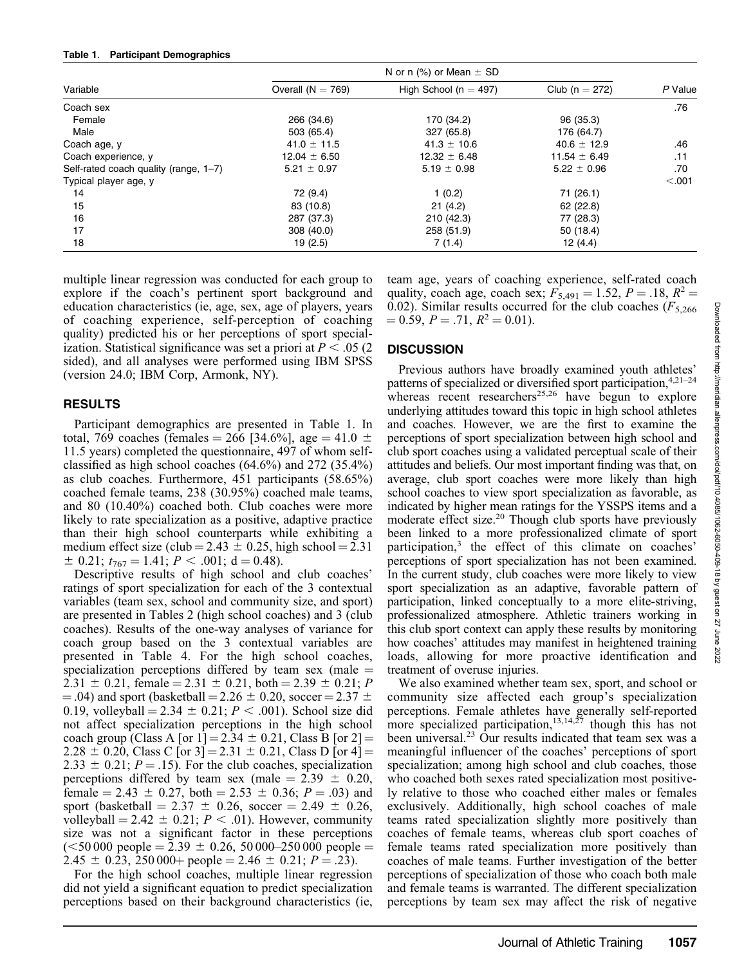#### Table 1. Participant Demographics

|                                       | N or n $(\%)$ or Mean $\pm$ SD |                           |                    |         |  |  |  |
|---------------------------------------|--------------------------------|---------------------------|--------------------|---------|--|--|--|
| Variable                              | Overall $(N = 769)$            | High School ( $n = 497$ ) | Club ( $n = 272$ ) | P Value |  |  |  |
| Coach sex                             |                                |                           |                    | .76     |  |  |  |
| Female                                | 266 (34.6)                     | 170 (34.2)                | 96 (35.3)          |         |  |  |  |
| Male                                  | 503 (65.4)                     | 327 (65.8)                | 176 (64.7)         |         |  |  |  |
| Coach age, y                          | $41.0 \pm 11.5$                | $41.3 \pm 10.6$           | $40.6 \pm 12.9$    | .46     |  |  |  |
| Coach experience, y                   | $12.04 \pm 6.50$               | $12.32 \pm 6.48$          | $11.54 \pm 6.49$   | .11     |  |  |  |
| Self-rated coach quality (range, 1–7) | $5.21 \pm 0.97$                | $5.19 \pm 0.98$           | $5.22 \pm 0.96$    | .70     |  |  |  |
| Typical player age, y                 |                                |                           |                    | < 0.001 |  |  |  |
| 14                                    | 72 (9.4)                       | 1(0.2)                    | 71 (26.1)          |         |  |  |  |
| 15                                    | 83 (10.8)                      | 21(4.2)                   | 62(22.8)           |         |  |  |  |
| 16                                    | 287 (37.3)                     | 210 (42.3)                | 77 (28.3)          |         |  |  |  |
| 17                                    | 308 (40.0)                     | 258 (51.9)                | 50 (18.4)          |         |  |  |  |
| 18                                    | 19(2.5)                        | 7(1.4)                    | 12 (4.4)           |         |  |  |  |

multiple linear regression was conducted for each group to explore if the coach's pertinent sport background and education characteristics (ie, age, sex, age of players, years of coaching experience, self-perception of coaching quality) predicted his or her perceptions of sport specialization. Statistical significance was set a priori at  $P < .05$  (2) sided), and all analyses were performed using IBM SPSS (version 24.0; IBM Corp, Armonk, NY).

#### RESULTS

Participant demographics are presented in Table 1. In total, 769 coaches (females = 266 [34.6%], age = 41.0  $\pm$ 11.5 years) completed the questionnaire, 497 of whom selfclassified as high school coaches (64.6%) and 272 (35.4%) as club coaches. Furthermore, 451 participants (58.65%) coached female teams, 238 (30.95%) coached male teams, and 80 (10.40%) coached both. Club coaches were more likely to rate specialization as a positive, adaptive practice than their high school counterparts while exhibiting a medium effect size (club = 2.43  $\pm$  0.25, high school = 2.31  $\pm$  0.21;  $t_{767} = 1.41$ ;  $P < .001$ ; d = 0.48).

Descriptive results of high school and club coaches' ratings of sport specialization for each of the 3 contextual variables (team sex, school and community size, and sport) are presented in Tables 2 (high school coaches) and 3 (club coaches). Results of the one-way analyses of variance for coach group based on the 3 contextual variables are presented in Table 4. For the high school coaches, specialization perceptions differed by team sex (male  $=$ 2.31  $\pm$  0.21, female = 2.31  $\pm$  0.21, both = 2.39  $\pm$  0.21; P  $=$  .04) and sport (basketball  $=$  2.26  $\pm$  0.20, soccer  $=$  2.37  $\pm$ 0.19, volleyball = 2.34  $\pm$  0.21; P < .001). School size did not affect specialization perceptions in the high school coach group (Class A [or 1] = 2.34  $\pm$  0.21, Class B [or 2] = 2.28  $\pm$  0.20, Class C [or 3] = 2.31  $\pm$  0.21, Class D [or 4] = 2.33  $\pm$  0.21; P = .15). For the club coaches, specialization perceptions differed by team sex (male  $= 2.39 \pm 0.20$ , female = 2.43  $\pm$  0.27, both = 2.53  $\pm$  0.36; P = .03) and sport (basketball = 2.37  $\pm$  0.26, soccer = 2.49  $\pm$  0.26, volleyball = 2.42  $\pm$  0.21; P < .01). However, community size was not a significant factor in these perceptions  $(<50000$  people = 2.39  $\pm$  0.26, 50 000–250 000 people =  $2.45 \pm 0.23$ ,  $250\,000 +$  people =  $2.46 \pm 0.21$ ;  $P = .23$ ).

For the high school coaches, multiple linear regression did not yield a significant equation to predict specialization perceptions based on their background characteristics (ie,

team age, years of coaching experience, self-rated coach quality, coach age, coach sex;  $F_{5,491} = 1.52$ ,  $P = .18$ ,  $R^2 =$ 0.02). Similar results occurred for the club coaches ( $F_{5,266}$ )  $= 0.59, P = .71, R^2 = 0.01$ .

#### **DISCUSSION**

Previous authors have broadly examined youth athletes' patterns of specialized or diversified sport participation, $4,21-24$ whereas recent researchers<sup>25,26</sup> have begun to explore underlying attitudes toward this topic in high school athletes and coaches. However, we are the first to examine the perceptions of sport specialization between high school and club sport coaches using a validated perceptual scale of their attitudes and beliefs. Our most important finding was that, on average, club sport coaches were more likely than high school coaches to view sport specialization as favorable, as indicated by higher mean ratings for the YSSPS items and a moderate effect size.20 Though club sports have previously been linked to a more professionalized climate of sport participation,<sup>3</sup> the effect of this climate on coaches' perceptions of sport specialization has not been examined. In the current study, club coaches were more likely to view sport specialization as an adaptive, favorable pattern of participation, linked conceptually to a more elite-striving, professionalized atmosphere. Athletic trainers working in this club sport context can apply these results by monitoring how coaches' attitudes may manifest in heightened training loads, allowing for more proactive identification and treatment of overuse injuries.

We also examined whether team sex, sport, and school or community size affected each group's specialization perceptions. Female athletes have generally self-reported more specialized participation,  $13,14,27$  though this has not been universal.<sup>23</sup> Our results indicated that team sex was a meaningful influencer of the coaches' perceptions of sport specialization; among high school and club coaches, those who coached both sexes rated specialization most positively relative to those who coached either males or females exclusively. Additionally, high school coaches of male teams rated specialization slightly more positively than coaches of female teams, whereas club sport coaches of female teams rated specialization more positively than coaches of male teams. Further investigation of the better perceptions of specialization of those who coach both male and female teams is warranted. The different specialization perceptions by team sex may affect the risk of negative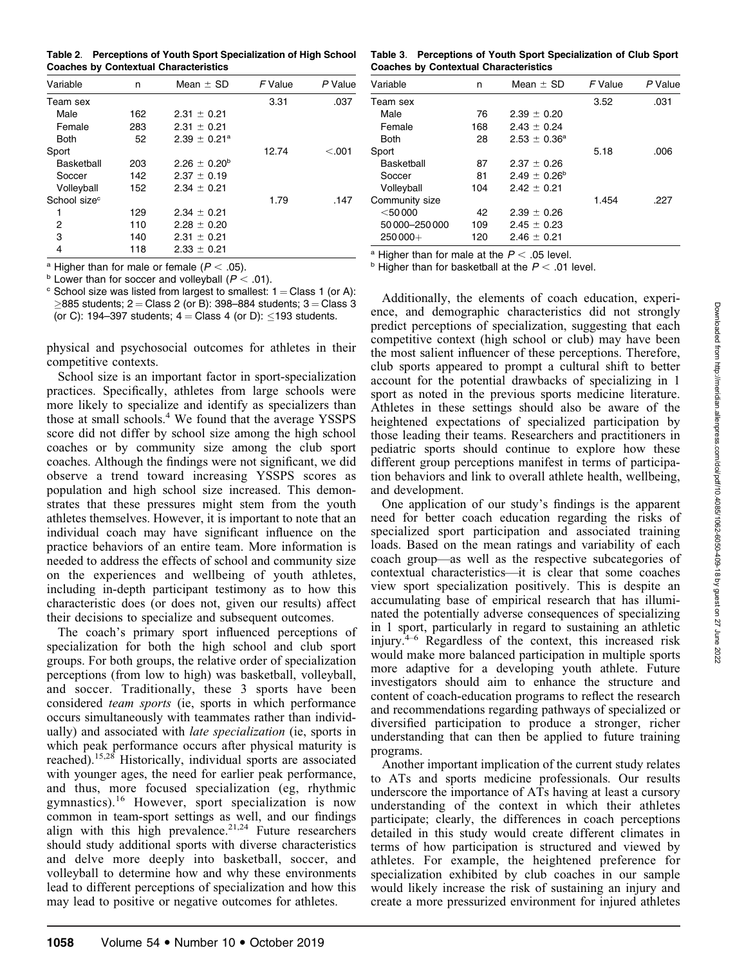Table 2. Perceptions of Youth Sport Specialization of High School Coaches by Contextual Characteristics

| Variable<br>n            |     | Mean $\pm$ SD           | F Value | P Value |  |
|--------------------------|-----|-------------------------|---------|---------|--|
| Team sex                 |     |                         | 3.31    | .037    |  |
| Male                     | 162 | $2.31 \pm 0.21$         |         |         |  |
| Female                   | 283 | $2.31 \pm 0.21$         |         |         |  |
| <b>Both</b>              | 52  | $2.39 \pm 0.21^a$       |         |         |  |
| Sport                    |     |                         | 12.74   | < .001  |  |
| Basketball               | 203 | $2.26 \pm 0.20^{\circ}$ |         |         |  |
| Soccer                   | 142 | $2.37 \pm 0.19$         |         |         |  |
| Volleyball               | 152 | $2.34 \pm 0.21$         |         |         |  |
| School size <sup>c</sup> |     |                         | 1.79    | .147    |  |
| 1                        | 129 | $2.34 \pm 0.21$         |         |         |  |
| 2                        | 110 | $2.28 \pm 0.20$         |         |         |  |
| 3                        | 140 | $2.31 \pm 0.21$         |         |         |  |
| 4                        | 118 | $2.33 \pm 0.21$         |         |         |  |

<sup>a</sup> Higher than for male or female ( $P < .05$ ).

 $b$  Lower than for soccer and volleyball ( $P < .01$ ).

 $\circ$  School size was listed from largest to smallest:  $1 =$  Class 1 (or A):  $\geq$ 885 students; 2 = Class 2 (or B): 398–884 students; 3 = Class 3 (or C): 194-397 students;  $4 = Class 4$  (or D):  $\leq$ 193 students.

physical and psychosocial outcomes for athletes in their competitive contexts.

School size is an important factor in sport-specialization practices. Specifically, athletes from large schools were more likely to specialize and identify as specializers than those at small schools.4 We found that the average YSSPS score did not differ by school size among the high school coaches or by community size among the club sport coaches. Although the findings were not significant, we did observe a trend toward increasing YSSPS scores as population and high school size increased. This demonstrates that these pressures might stem from the youth athletes themselves. However, it is important to note that an individual coach may have significant influence on the practice behaviors of an entire team. More information is needed to address the effects of school and community size on the experiences and wellbeing of youth athletes, including in-depth participant testimony as to how this characteristic does (or does not, given our results) affect their decisions to specialize and subsequent outcomes.

The coach's primary sport influenced perceptions of specialization for both the high school and club sport groups. For both groups, the relative order of specialization perceptions (from low to high) was basketball, volleyball, and soccer. Traditionally, these 3 sports have been considered team sports (ie, sports in which performance occurs simultaneously with teammates rather than individually) and associated with *late specialization* (ie, sports in which peak performance occurs after physical maturity is reached).<sup>15,28</sup> Historically, individual sports are associated with younger ages, the need for earlier peak performance, and thus, more focused specialization (eg, rhythmic gymnastics).<sup>16</sup> However, sport specialization is now common in team-sport settings as well, and our findings align with this high prevalence.<sup>21,24</sup> Future researchers should study additional sports with diverse characteristics and delve more deeply into basketball, soccer, and volleyball to determine how and why these environments lead to different perceptions of specialization and how this may lead to positive or negative outcomes for athletes.

Table 3. Perceptions of Youth Sport Specialization of Club Sport Coaches by Contextual Characteristics

| Variable       | n   | Mean $\pm$ SD           | F Value | P Value |
|----------------|-----|-------------------------|---------|---------|
| Team sex       |     |                         | 3.52    | .031    |
| Male           | 76  | $2.39 + 0.20$           |         |         |
| Female         | 168 | $2.43 \pm 0.24$         |         |         |
| <b>Both</b>    | 28  | $2.53 \pm 0.36^{\circ}$ |         |         |
| Sport          |     |                         | 5.18    | .006    |
| Basketball     | 87  | $2.37 \pm 0.26$         |         |         |
| Soccer         | 81  | $2.49 \pm 0.26^{\circ}$ |         |         |
| Volleyball     | 104 | $2.42 \pm 0.21$         |         |         |
| Community size |     |                         | 1.454   | .227    |
| $<$ 50 000     | 42  | $2.39 \pm 0.26$         |         |         |
| 50000-250000   | 109 | $2.45 \pm 0.23$         |         |         |
| $250000+$      | 120 | $2.46 \pm 0.21$         |         |         |

<sup>a</sup> Higher than for male at the  $P < .05$  level.

 $b$  Higher than for basketball at the  $P < .01$  level.

Additionally, the elements of coach education, experience, and demographic characteristics did not strongly predict perceptions of specialization, suggesting that each competitive context (high school or club) may have been the most salient influencer of these perceptions. Therefore, club sports appeared to prompt a cultural shift to better account for the potential drawbacks of specializing in 1 sport as noted in the previous sports medicine literature. Athletes in these settings should also be aware of the heightened expectations of specialized participation by those leading their teams. Researchers and practitioners in pediatric sports should continue to explore how these different group perceptions manifest in terms of participation behaviors and link to overall athlete health, wellbeing, and development.

One application of our study's findings is the apparent need for better coach education regarding the risks of specialized sport participation and associated training loads. Based on the mean ratings and variability of each coach group—as well as the respective subcategories of contextual characteristics—it is clear that some coaches view sport specialization positively. This is despite an accumulating base of empirical research that has illuminated the potentially adverse consequences of specializing in 1 sport, particularly in regard to sustaining an athletic injury. $4-6$  Regardless of the context, this increased risk would make more balanced participation in multiple sports more adaptive for a developing youth athlete. Future investigators should aim to enhance the structure and content of coach-education programs to reflect the research and recommendations regarding pathways of specialized or diversified participation to produce a stronger, richer understanding that can then be applied to future training programs.

Another important implication of the current study relates to ATs and sports medicine professionals. Our results underscore the importance of ATs having at least a cursory understanding of the context in which their athletes participate; clearly, the differences in coach perceptions detailed in this study would create different climates in terms of how participation is structured and viewed by athletes. For example, the heightened preference for specialization exhibited by club coaches in our sample would likely increase the risk of sustaining an injury and create a more pressurized environment for injured athletes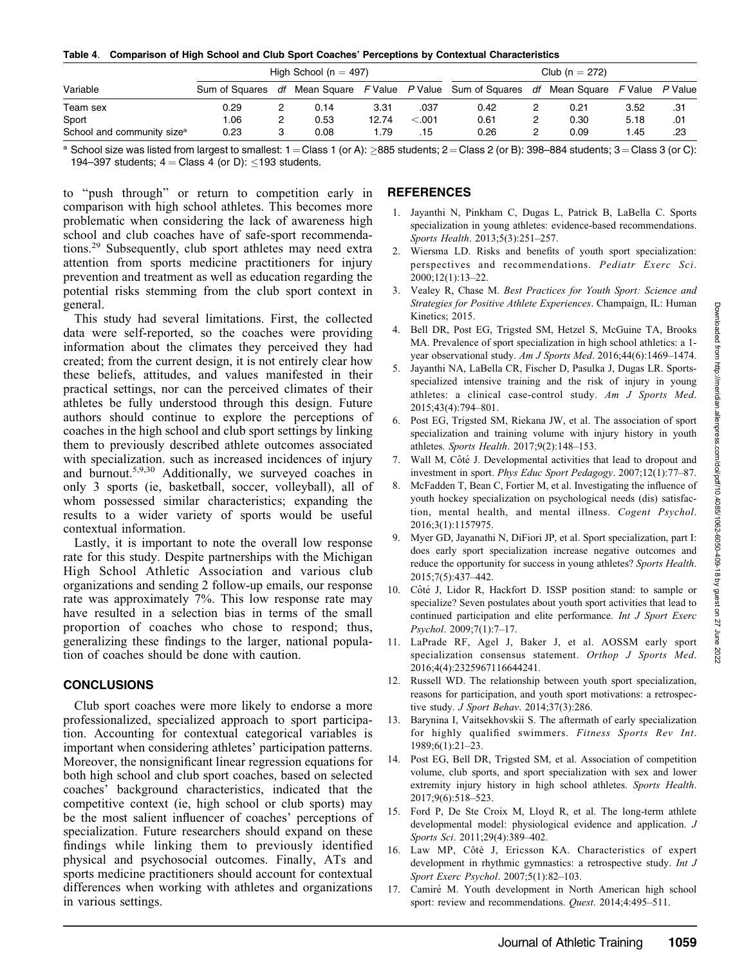Table 4. Comparison of High School and Club Sport Coaches' Perceptions by Contextual Characteristics

|                                        | High School ( $n = 497$ ) |    |      |       |        | Club ( $n = 272$ )                                                        |  |      |      |     |
|----------------------------------------|---------------------------|----|------|-------|--------|---------------------------------------------------------------------------|--|------|------|-----|
| Variable                               | Sum of Squares            | df |      |       |        | Mean Square F Value P Value Sum of Squares df Mean Square F Value P Value |  |      |      |     |
| Team sex                               | 0.29                      |    | 0.14 | 3.31  | .037   | 0.42                                                                      |  | 0.21 | 3.52 | .31 |
| Sport                                  | .06                       |    | 0.53 | 12.74 | < 0.01 | 0.61                                                                      |  | 0.30 | 5.18 | .01 |
| School and community size <sup>a</sup> | 0.23                      |    | 0.08 | 1.79  | .15    | 0.26                                                                      |  | 0.09 | 1.45 | .23 |

<sup>a</sup> School size was listed from largest to smallest:  $1 = C$ lass 1 (or A): >885 students; 2 = Class 2 (or B): 398–884 students; 3 = Class 3 (or C): 194–397 students;  $4 = Class 4$  (or D):  $\leq$ 193 students.

to ''push through'' or return to competition early in comparison with high school athletes. This becomes more problematic when considering the lack of awareness high school and club coaches have of safe-sport recommendations.29 Subsequently, club sport athletes may need extra attention from sports medicine practitioners for injury prevention and treatment as well as education regarding the potential risks stemming from the club sport context in general.

This study had several limitations. First, the collected data were self-reported, so the coaches were providing information about the climates they perceived they had created; from the current design, it is not entirely clear how these beliefs, attitudes, and values manifested in their practical settings, nor can the perceived climates of their athletes be fully understood through this design. Future authors should continue to explore the perceptions of coaches in the high school and club sport settings by linking them to previously described athlete outcomes associated with specialization. such as increased incidences of injury and burnout.5,9,30 Additionally, we surveyed coaches in only 3 sports (ie, basketball, soccer, volleyball), all of whom possessed similar characteristics; expanding the results to a wider variety of sports would be useful contextual information.

Lastly, it is important to note the overall low response rate for this study. Despite partnerships with the Michigan High School Athletic Association and various club organizations and sending 2 follow-up emails, our response rate was approximately 7%. This low response rate may have resulted in a selection bias in terms of the small proportion of coaches who chose to respond; thus, generalizing these findings to the larger, national population of coaches should be done with caution.

## **CONCLUSIONS**

Club sport coaches were more likely to endorse a more professionalized, specialized approach to sport participation. Accounting for contextual categorical variables is important when considering athletes' participation patterns. Moreover, the nonsignificant linear regression equations for both high school and club sport coaches, based on selected coaches' background characteristics, indicated that the competitive context (ie, high school or club sports) may be the most salient influencer of coaches' perceptions of specialization. Future researchers should expand on these findings while linking them to previously identified physical and psychosocial outcomes. Finally, ATs and sports medicine practitioners should account for contextual differences when working with athletes and organizations in various settings.

## **REFERENCES**

- 1. Jayanthi N, Pinkham C, Dugas L, Patrick B, LaBella C. Sports specialization in young athletes: evidence-based recommendations. Sports Health. 2013;5(3):251–257.
- 2. Wiersma LD. Risks and benefits of youth sport specialization: perspectives and recommendations. Pediatr Exerc Sci. 2000;12(1):13–22.
- 3. Vealey R, Chase M. Best Practices for Youth Sport: Science and Strategies for Positive Athlete Experiences. Champaign, IL: Human Kinetics; 2015.
- 4. Bell DR, Post EG, Trigsted SM, Hetzel S, McGuine TA, Brooks MA. Prevalence of sport specialization in high school athletics: a 1 year observational study. Am J Sports Med. 2016;44(6):1469-1474.
- 5. Jayanthi NA, LaBella CR, Fischer D, Pasulka J, Dugas LR. Sportsspecialized intensive training and the risk of injury in young athletes: a clinical case-control study. Am J Sports Med. 2015;43(4):794–801.
- 6. Post EG, Trigsted SM, Riekana JW, et al. The association of sport specialization and training volume with injury history in youth athletes. Sports Health. 2017;9(2):148–153.
- 7. Wall M, Côté J. Developmental activities that lead to dropout and investment in sport. Phys Educ Sport Pedagogy. 2007;12(1):77–87.
- 8. McFadden T, Bean C, Fortier M, et al. Investigating the influence of youth hockey specialization on psychological needs (dis) satisfaction, mental health, and mental illness. Cogent Psychol. 2016;3(1):1157975.
- 9. Myer GD, Jayanathi N, DiFiori JP, et al. Sport specialization, part I: does early sport specialization increase negative outcomes and reduce the opportunity for success in young athletes? Sports Health. 2015;7(5):437–442.
- 10. Côté J, Lidor R, Hackfort D. ISSP position stand: to sample or specialize? Seven postulates about youth sport activities that lead to continued participation and elite performance. Int J Sport Exerc Psychol. 2009;7(1):7–17.
- 11. LaPrade RF, Agel J, Baker J, et al. AOSSM early sport specialization consensus statement. Orthop J Sports Med. 2016;4(4):2325967116644241.
- 12. Russell WD. The relationship between youth sport specialization, reasons for participation, and youth sport motivations: a retrospective study. J Sport Behav. 2014;37(3):286.
- 13. Barynina I, Vaitsekhovskii S. The aftermath of early specialization for highly qualified swimmers. Fitness Sports Rev Int. 1989;6(1):21–23.
- 14. Post EG, Bell DR, Trigsted SM, et al. Association of competition volume, club sports, and sport specialization with sex and lower extremity injury history in high school athletes. Sports Health. 2017;9(6):518–523.
- 15. Ford P, De Ste Croix M, Lloyd R, et al. The long-term athlete developmental model: physiological evidence and application. J Sports Sci. 2011;29(4):389–402.
- 16. Law MP, Côté J, Ericsson KA. Characteristics of expert development in rhythmic gymnastics: a retrospective study. Int J Sport Exerc Psychol. 2007;5(1):82–103.
- 17. Camiré M. Youth development in North American high school sport: review and recommendations. *Quest*. 2014;4:495–511.